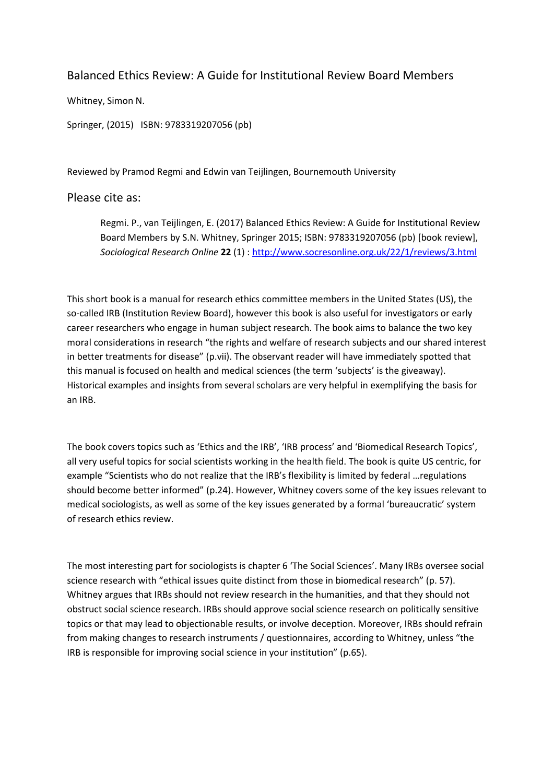## Balanced Ethics Review: A Guide for Institutional Review Board Members

Whitney, Simon N.

Springer, (2015) ISBN: 9783319207056 (pb)

Reviewed by Pramod Regmi and Edwin van Teijlingen, Bournemouth University

## Please cite as:

Regmi. P., van Teijlingen, E. (2017) Balanced Ethics Review: A Guide for Institutional Review Board Members by S.N. Whitney, Springer 2015; ISBN: 9783319207056 (pb) [book review], *Sociological Research Online* **22** (1) :<http://www.socresonline.org.uk/22/1/reviews/3.html>

This short book is a manual for research ethics committee members in the United States (US), the so-called IRB (Institution Review Board), however this book is also useful for investigators or early career researchers who engage in human subject research. The book aims to balance the two key moral considerations in research "the rights and welfare of research subjects and our shared interest in better treatments for disease" (p.vii). The observant reader will have immediately spotted that this manual is focused on health and medical sciences (the term 'subjects' is the giveaway). Historical examples and insights from several scholars are very helpful in exemplifying the basis for an IRB.

The book covers topics such as 'Ethics and the IRB', 'IRB process' and 'Biomedical Research Topics', all very useful topics for social scientists working in the health field. The book is quite US centric, for example "Scientists who do not realize that the IRB's flexibility is limited by federal …regulations should become better informed" (p.24). However, Whitney covers some of the key issues relevant to medical sociologists, as well as some of the key issues generated by a formal 'bureaucratic' system of research ethics review.

The most interesting part for sociologists is chapter 6 'The Social Sciences'. Many IRBs oversee social science research with "ethical issues quite distinct from those in biomedical research" (p. 57). Whitney argues that IRBs should not review research in the humanities, and that they should not obstruct social science research. IRBs should approve social science research on politically sensitive topics or that may lead to objectionable results, or involve deception. Moreover, IRBs should refrain from making changes to research instruments / questionnaires, according to Whitney, unless "the IRB is responsible for improving social science in your institution" (p.65).